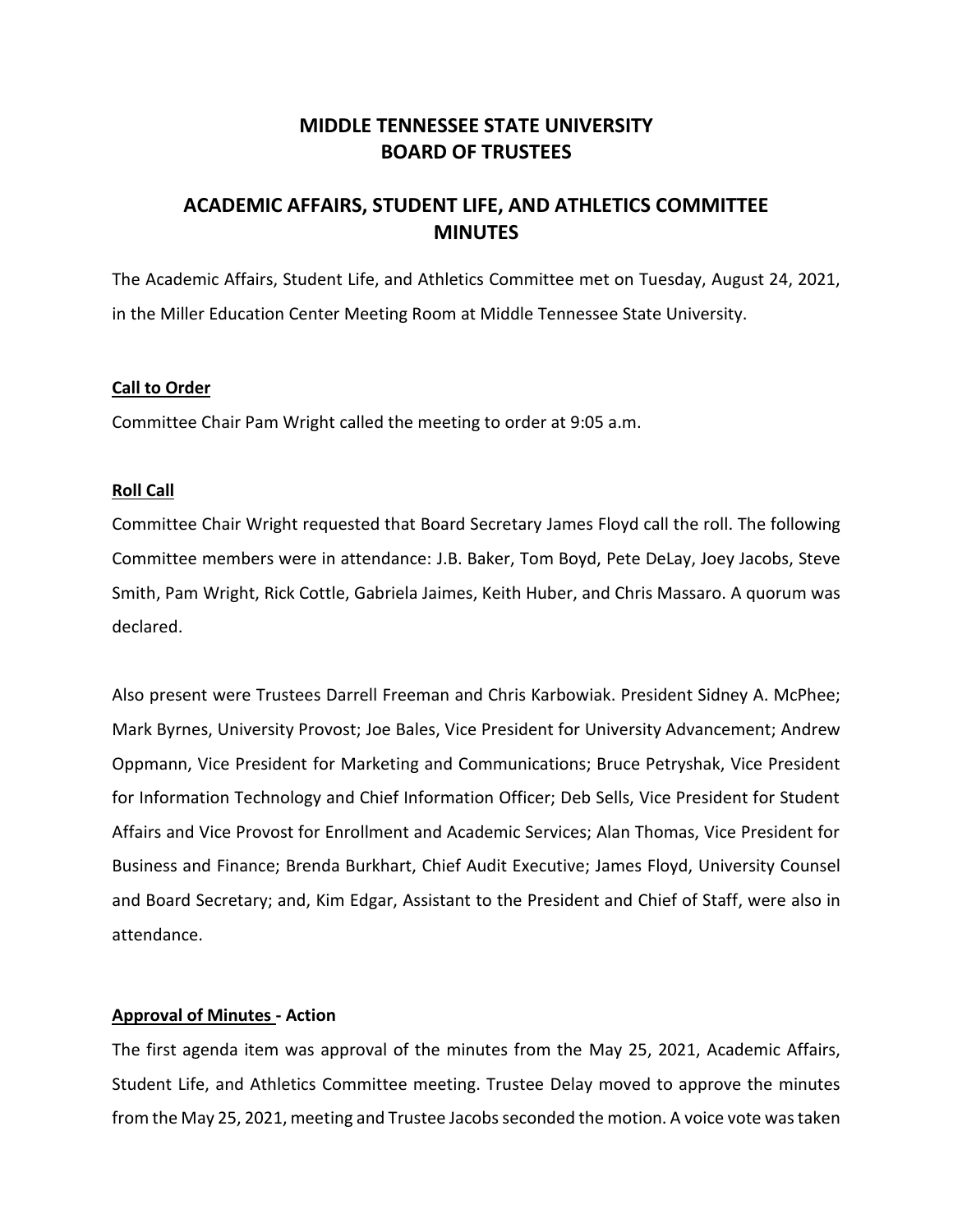# **MIDDLE TENNESSEE STATE UNIVERSITY BOARD OF TRUSTEES**

# **ACADEMIC AFFAIRS, STUDENT LIFE, AND ATHLETICS COMMITTEE MINUTES**

The Academic Affairs, Student Life, and Athletics Committee met on Tuesday, August 24, 2021, in the Miller Education Center Meeting Room at Middle Tennessee State University.

## **Call to Order**

Committee Chair Pam Wright called the meeting to order at 9:05 a.m.

### **Roll Call**

Committee Chair Wright requested that Board Secretary James Floyd call the roll. The following Committee members were in attendance: J.B. Baker, Tom Boyd, Pete DeLay, Joey Jacobs, Steve Smith, Pam Wright, Rick Cottle, Gabriela Jaimes, Keith Huber, and Chris Massaro. A quorum was declared.

Also present were Trustees Darrell Freeman and Chris Karbowiak. President Sidney A. McPhee; Mark Byrnes, University Provost; Joe Bales, Vice President for University Advancement; Andrew Oppmann, Vice President for Marketing and Communications; Bruce Petryshak, Vice President for Information Technology and Chief Information Officer; Deb Sells, Vice President for Student Affairs and Vice Provost for Enrollment and Academic Services; Alan Thomas, Vice President for Business and Finance; Brenda Burkhart, Chief Audit Executive; James Floyd, University Counsel and Board Secretary; and, Kim Edgar, Assistant to the President and Chief of Staff, were also in attendance.

### **Approval of Minutes - Action**

The first agenda item was approval of the minutes from the May 25, 2021, Academic Affairs, Student Life, and Athletics Committee meeting. Trustee Delay moved to approve the minutes from the May 25, 2021, meeting and Trustee Jacobs seconded the motion. A voice vote was taken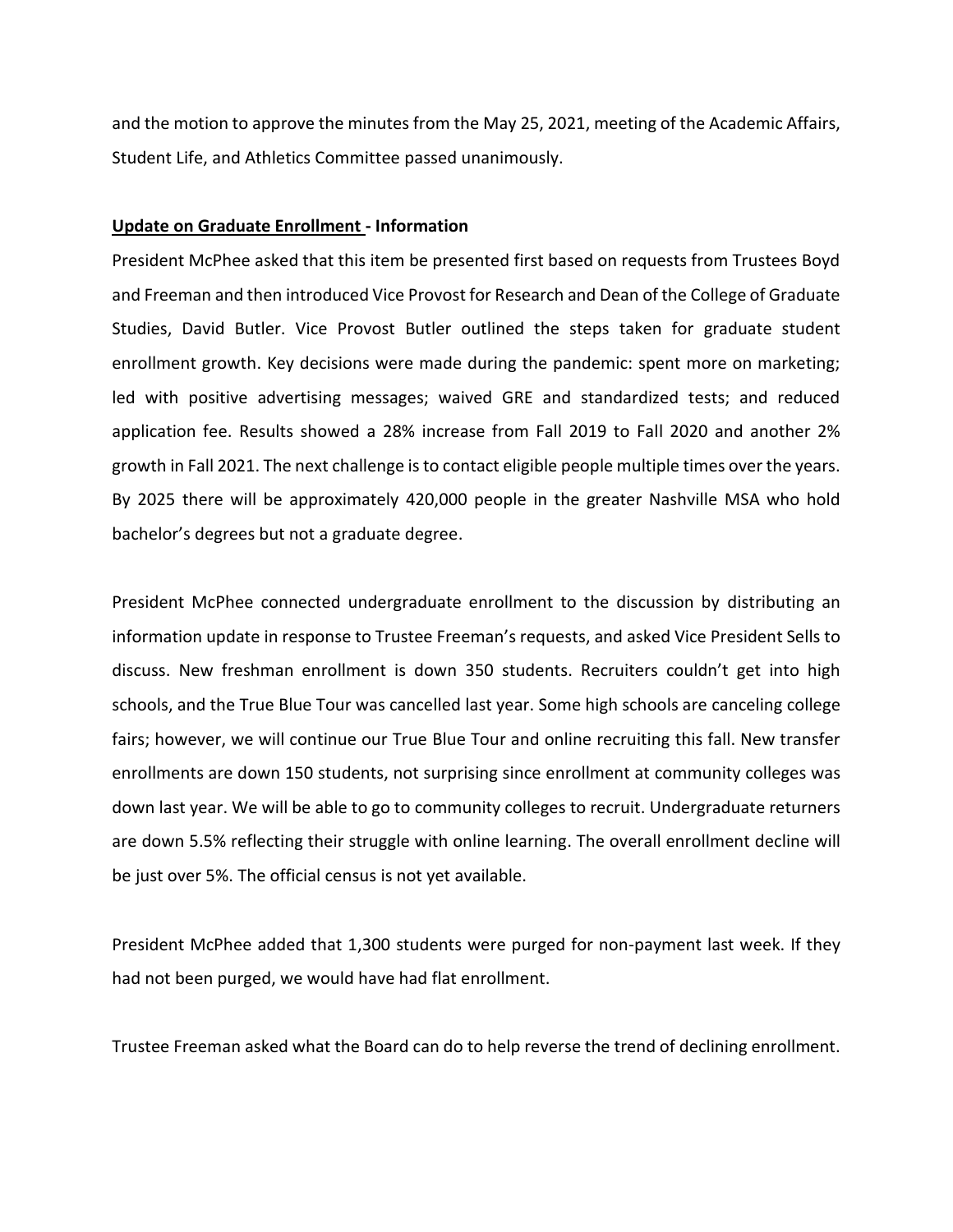and the motion to approve the minutes from the May 25, 2021, meeting of the Academic Affairs, Student Life, and Athletics Committee passed unanimously.

#### **Update on Graduate Enrollment - Information**

President McPhee asked that this item be presented first based on requests from Trustees Boyd and Freeman and then introduced Vice Provost for Research and Dean of the College of Graduate Studies, David Butler. Vice Provost Butler outlined the steps taken for graduate student enrollment growth. Key decisions were made during the pandemic: spent more on marketing; led with positive advertising messages; waived GRE and standardized tests; and reduced application fee. Results showed a 28% increase from Fall 2019 to Fall 2020 and another 2% growth in Fall 2021. The next challenge is to contact eligible people multiple times over the years. By 2025 there will be approximately 420,000 people in the greater Nashville MSA who hold bachelor's degrees but not a graduate degree.

President McPhee connected undergraduate enrollment to the discussion by distributing an information update in response to Trustee Freeman's requests, and asked Vice President Sells to discuss. New freshman enrollment is down 350 students. Recruiters couldn't get into high schools, and the True Blue Tour was cancelled last year. Some high schools are canceling college fairs; however, we will continue our True Blue Tour and online recruiting this fall. New transfer enrollments are down 150 students, not surprising since enrollment at community colleges was down last year. We will be able to go to community colleges to recruit. Undergraduate returners are down 5.5% reflecting their struggle with online learning. The overall enrollment decline will be just over 5%. The official census is not yet available.

President McPhee added that 1,300 students were purged for non-payment last week. If they had not been purged, we would have had flat enrollment.

Trustee Freeman asked what the Board can do to help reverse the trend of declining enrollment.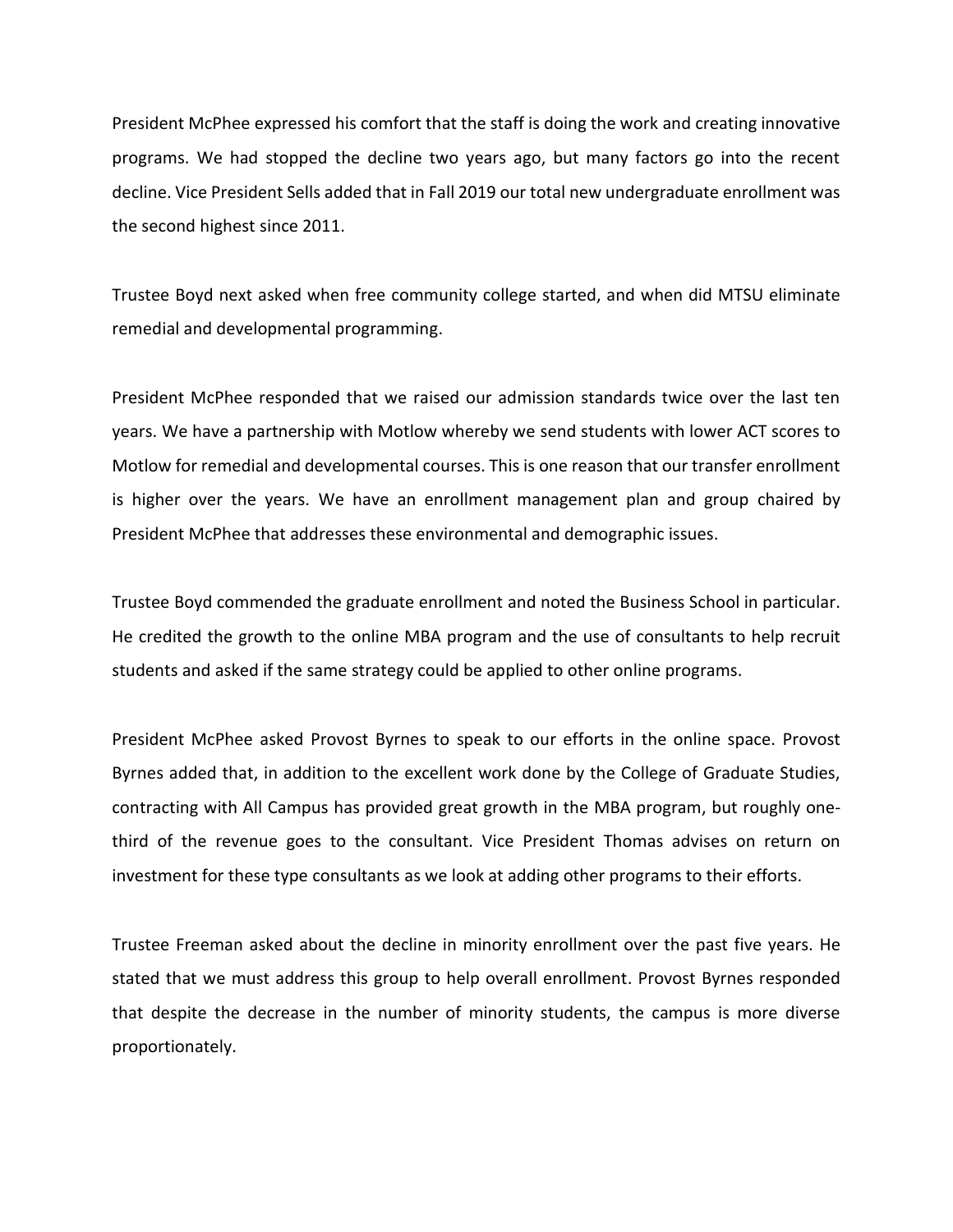President McPhee expressed his comfort that the staff is doing the work and creating innovative programs. We had stopped the decline two years ago, but many factors go into the recent decline. Vice President Sells added that in Fall 2019 our total new undergraduate enrollment was the second highest since 2011.

Trustee Boyd next asked when free community college started, and when did MTSU eliminate remedial and developmental programming.

President McPhee responded that we raised our admission standards twice over the last ten years. We have a partnership with Motlow whereby we send students with lower ACT scores to Motlow for remedial and developmental courses. This is one reason that our transfer enrollment is higher over the years. We have an enrollment management plan and group chaired by President McPhee that addresses these environmental and demographic issues.

Trustee Boyd commended the graduate enrollment and noted the Business School in particular. He credited the growth to the online MBA program and the use of consultants to help recruit students and asked if the same strategy could be applied to other online programs.

President McPhee asked Provost Byrnes to speak to our efforts in the online space. Provost Byrnes added that, in addition to the excellent work done by the College of Graduate Studies, contracting with All Campus has provided great growth in the MBA program, but roughly onethird of the revenue goes to the consultant. Vice President Thomas advises on return on investment for these type consultants as we look at adding other programs to their efforts.

Trustee Freeman asked about the decline in minority enrollment over the past five years. He stated that we must address this group to help overall enrollment. Provost Byrnes responded that despite the decrease in the number of minority students, the campus is more diverse proportionately.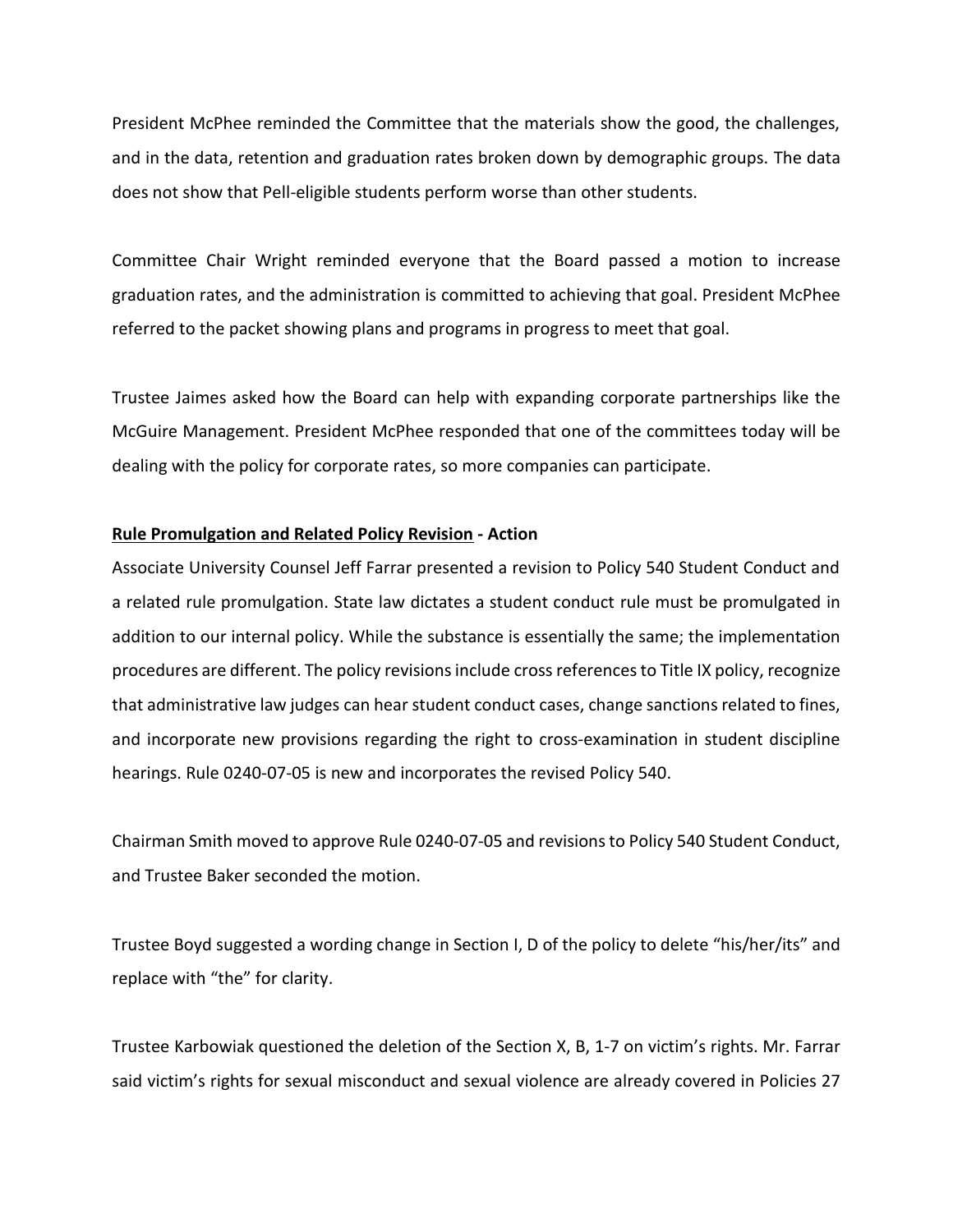President McPhee reminded the Committee that the materials show the good, the challenges, and in the data, retention and graduation rates broken down by demographic groups. The data does not show that Pell-eligible students perform worse than other students.

Committee Chair Wright reminded everyone that the Board passed a motion to increase graduation rates, and the administration is committed to achieving that goal. President McPhee referred to the packet showing plans and programs in progress to meet that goal.

Trustee Jaimes asked how the Board can help with expanding corporate partnerships like the McGuire Management. President McPhee responded that one of the committees today will be dealing with the policy for corporate rates, so more companies can participate.

## **Rule Promulgation and Related Policy Revision - Action**

Associate University Counsel Jeff Farrar presented a revision to Policy 540 Student Conduct and a related rule promulgation. State law dictates a student conduct rule must be promulgated in addition to our internal policy. While the substance is essentially the same; the implementation procedures are different. The policy revisions include cross references to Title IX policy, recognize that administrative law judges can hear student conduct cases, change sanctions related to fines, and incorporate new provisions regarding the right to cross-examination in student discipline hearings. Rule 0240-07-05 is new and incorporates the revised Policy 540.

Chairman Smith moved to approve Rule 0240-07-05 and revisions to Policy 540 Student Conduct, and Trustee Baker seconded the motion.

Trustee Boyd suggested a wording change in Section I, D of the policy to delete "his/her/its" and replace with "the" for clarity.

Trustee Karbowiak questioned the deletion of the Section X, B, 1-7 on victim's rights. Mr. Farrar said victim's rights for sexual misconduct and sexual violence are already covered in Policies 27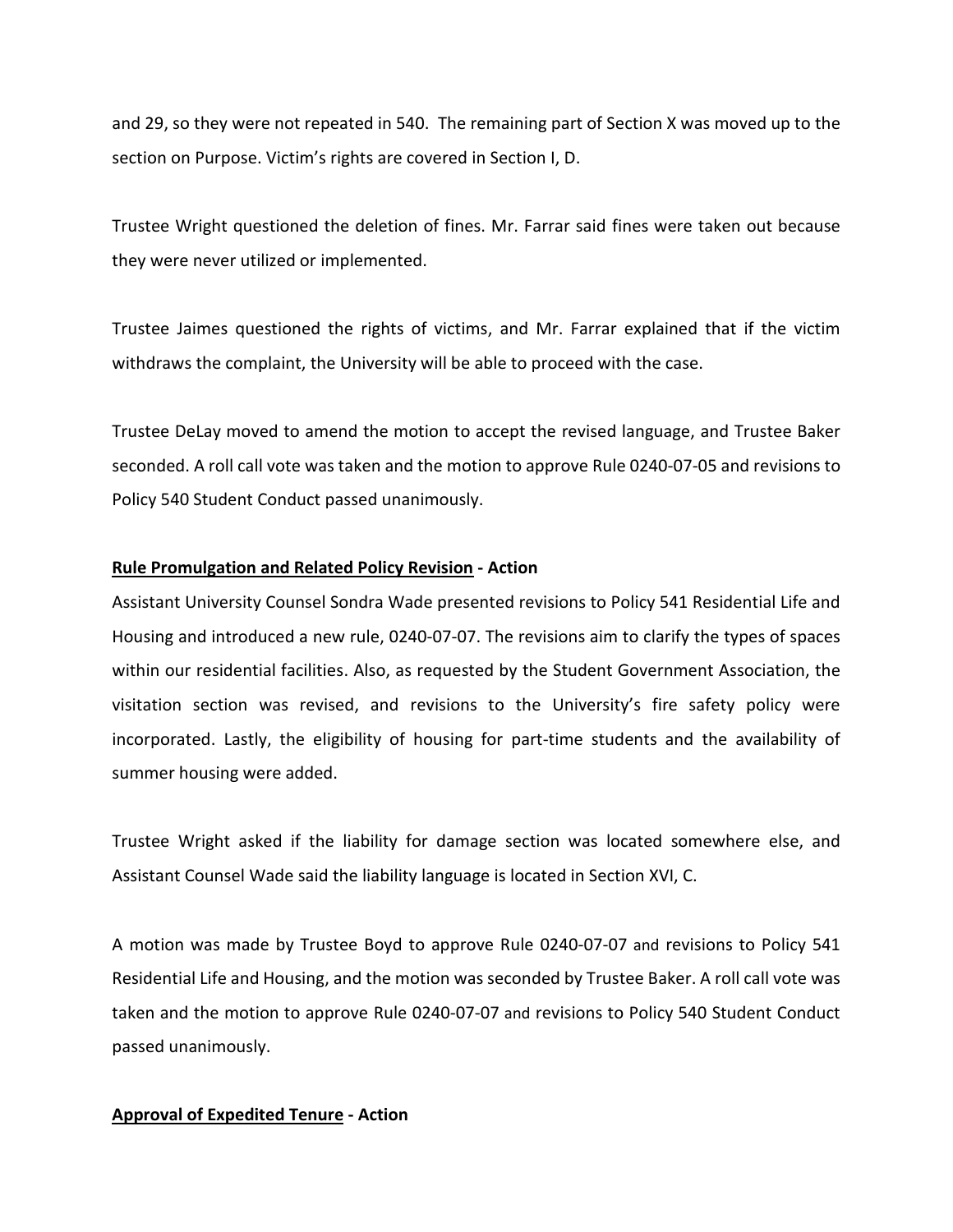and 29, so they were not repeated in 540. The remaining part of Section X was moved up to the section on Purpose. Victim's rights are covered in Section I, D.

Trustee Wright questioned the deletion of fines. Mr. Farrar said fines were taken out because they were never utilized or implemented.

Trustee Jaimes questioned the rights of victims, and Mr. Farrar explained that if the victim withdraws the complaint, the University will be able to proceed with the case.

Trustee DeLay moved to amend the motion to accept the revised language, and Trustee Baker seconded. A roll call vote was taken and the motion to approve Rule 0240-07-05 and revisions to Policy 540 Student Conduct passed unanimously.

## **Rule Promulgation and Related Policy Revision - Action**

Assistant University Counsel Sondra Wade presented revisions to Policy 541 Residential Life and Housing and introduced a new rule, 0240-07-07. The revisions aim to clarify the types of spaces within our residential facilities. Also, as requested by the Student Government Association, the visitation section was revised, and revisions to the University's fire safety policy were incorporated. Lastly, the eligibility of housing for part-time students and the availability of summer housing were added.

Trustee Wright asked if the liability for damage section was located somewhere else, and Assistant Counsel Wade said the liability language is located in Section XVI, C.

A motion was made by Trustee Boyd to approve Rule 0240-07-07 and revisions to Policy 541 Residential Life and Housing, and the motion was seconded by Trustee Baker. A roll call vote was taken and the motion to approve Rule 0240-07-07 and revisions to Policy 540 Student Conduct passed unanimously.

### **Approval of Expedited Tenure - Action**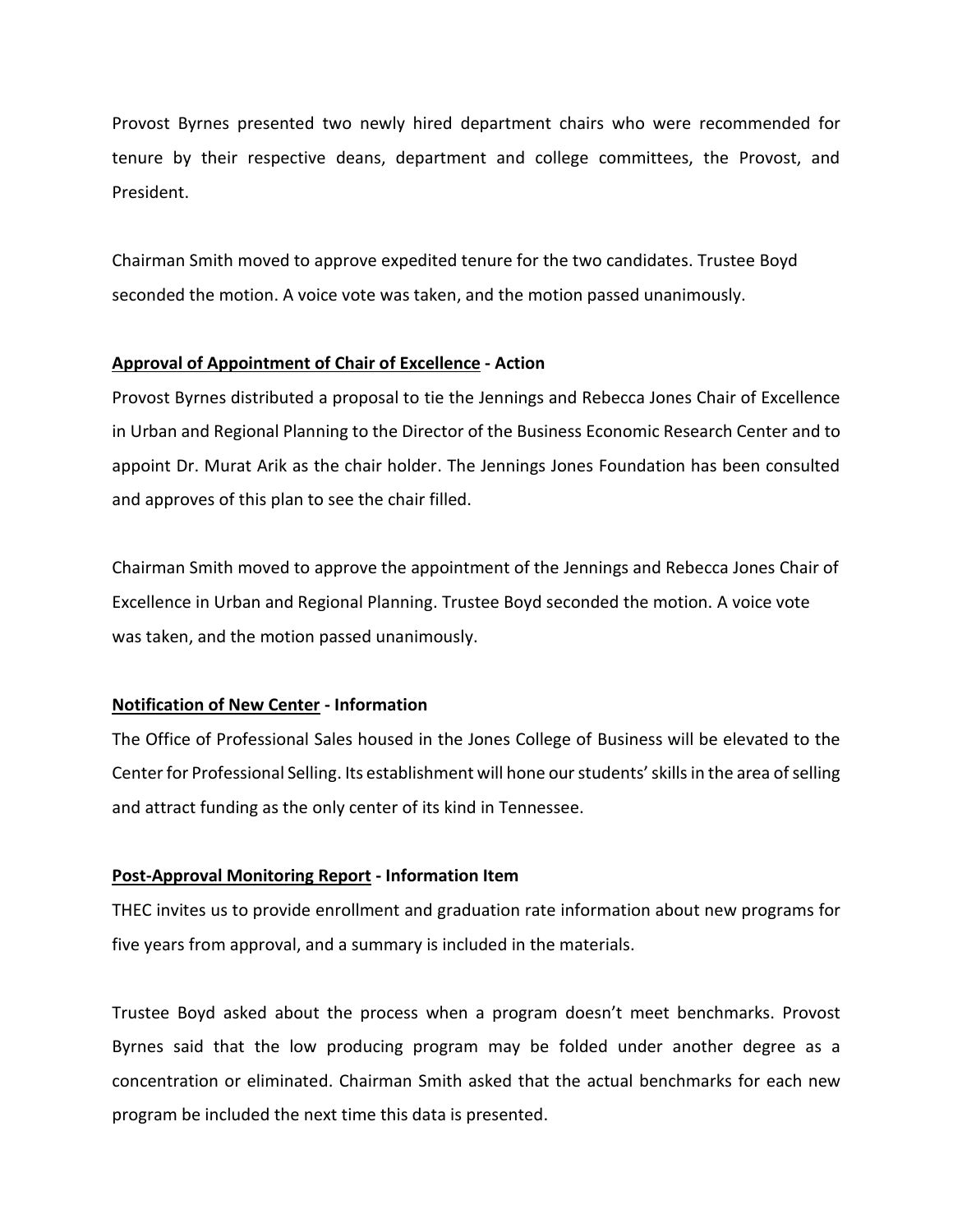Provost Byrnes presented two newly hired department chairs who were recommended for tenure by their respective deans, department and college committees, the Provost, and President.

Chairman Smith moved to approve expedited tenure for the two candidates. Trustee Boyd seconded the motion. A voice vote was taken, and the motion passed unanimously.

### **Approval of Appointment of Chair of Excellence - Action**

Provost Byrnes distributed a proposal to tie the Jennings and Rebecca Jones Chair of Excellence in Urban and Regional Planning to the Director of the Business Economic Research Center and to appoint Dr. Murat Arik as the chair holder. The Jennings Jones Foundation has been consulted and approves of this plan to see the chair filled.

Chairman Smith moved to approve the appointment of the Jennings and Rebecca Jones Chair of Excellence in Urban and Regional Planning. Trustee Boyd seconded the motion. A voice vote was taken, and the motion passed unanimously.

### **Notification of New Center - Information**

The Office of Professional Sales housed in the Jones College of Business will be elevated to the Centerfor Professional Selling. Its establishment will hone our students' skills in the area of selling and attract funding as the only center of its kind in Tennessee.

#### **Post-Approval Monitoring Report - Information Item**

THEC invites us to provide enrollment and graduation rate information about new programs for five years from approval, and a summary is included in the materials.

Trustee Boyd asked about the process when a program doesn't meet benchmarks. Provost Byrnes said that the low producing program may be folded under another degree as a concentration or eliminated. Chairman Smith asked that the actual benchmarks for each new program be included the next time this data is presented.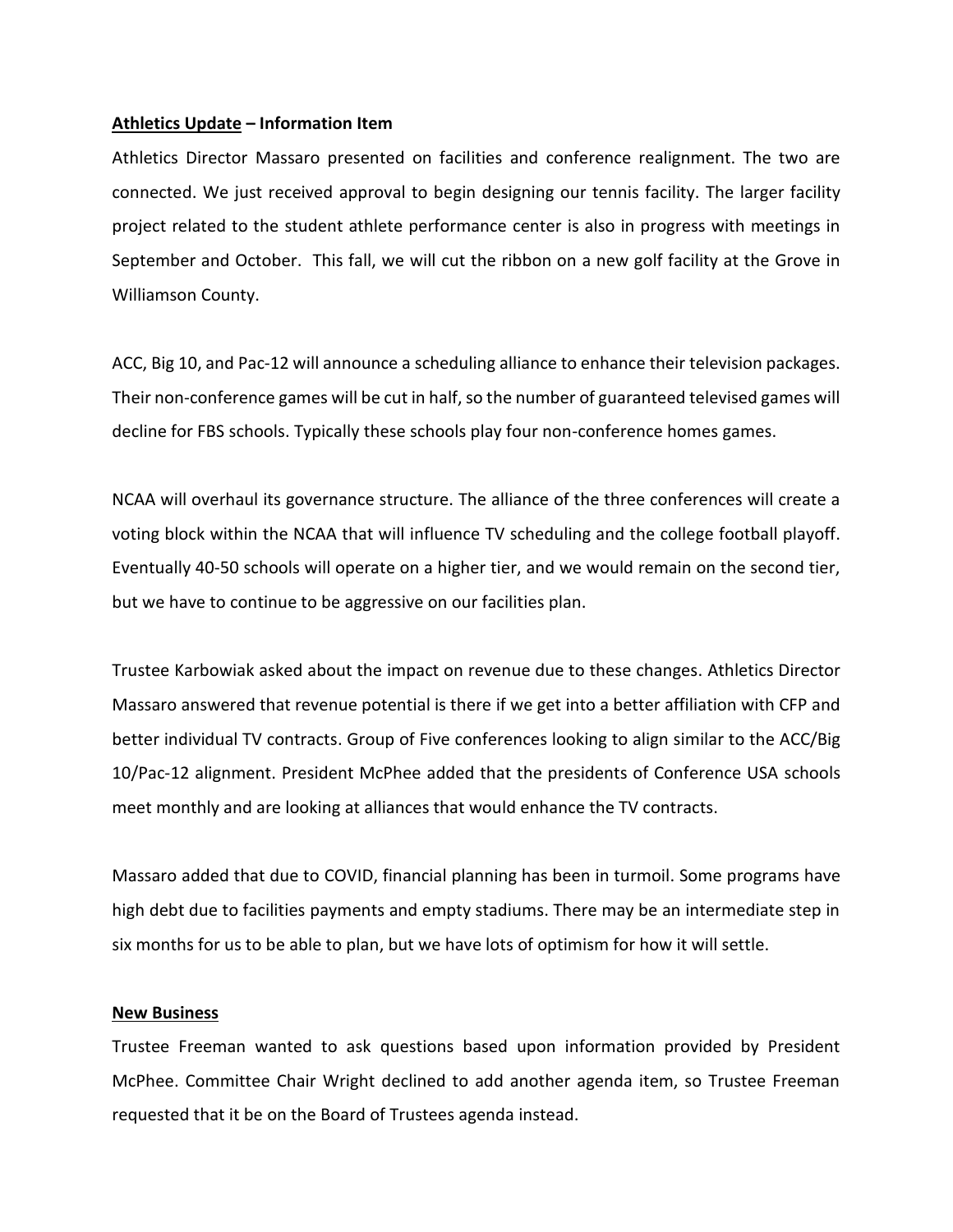#### **Athletics Update – Information Item**

Athletics Director Massaro presented on facilities and conference realignment. The two are connected. We just received approval to begin designing our tennis facility. The larger facility project related to the student athlete performance center is also in progress with meetings in September and October. This fall, we will cut the ribbon on a new golf facility at the Grove in Williamson County.

ACC, Big 10, and Pac-12 will announce a scheduling alliance to enhance their television packages. Their non-conference games will be cut in half, so the number of guaranteed televised games will decline for FBS schools. Typically these schools play four non-conference homes games.

NCAA will overhaul its governance structure. The alliance of the three conferences will create a voting block within the NCAA that will influence TV scheduling and the college football playoff. Eventually 40-50 schools will operate on a higher tier, and we would remain on the second tier, but we have to continue to be aggressive on our facilities plan.

Trustee Karbowiak asked about the impact on revenue due to these changes. Athletics Director Massaro answered that revenue potential is there if we get into a better affiliation with CFP and better individual TV contracts. Group of Five conferences looking to align similar to the ACC/Big 10/Pac-12 alignment. President McPhee added that the presidents of Conference USA schools meet monthly and are looking at alliances that would enhance the TV contracts.

Massaro added that due to COVID, financial planning has been in turmoil. Some programs have high debt due to facilities payments and empty stadiums. There may be an intermediate step in six months for us to be able to plan, but we have lots of optimism for how it will settle.

### **New Business**

Trustee Freeman wanted to ask questions based upon information provided by President McPhee. Committee Chair Wright declined to add another agenda item, so Trustee Freeman requested that it be on the Board of Trustees agenda instead.